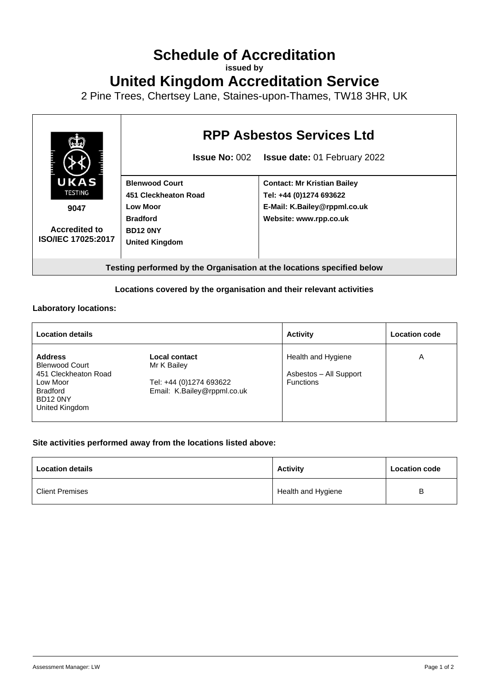# **Schedule of Accreditation**

**issued by**

**United Kingdom Accreditation Service**

2 Pine Trees, Chertsey Lane, Staines-upon-Thames, TW18 3HR, UK



## **Locations covered by the organisation and their relevant activities**

#### **Laboratory locations:**

| <b>Location details</b>                                                                                                      |                                                                                        | <b>Activity</b>                                                  | <b>Location code</b> |
|------------------------------------------------------------------------------------------------------------------------------|----------------------------------------------------------------------------------------|------------------------------------------------------------------|----------------------|
| <b>Address</b><br><b>Blenwood Court</b><br>451 Cleckheaton Road<br>Low Moor<br><b>Bradford</b><br>BD12 0NY<br>United Kingdom | Local contact<br>Mr K Bailey<br>Tel: +44 (0)1274 693622<br>Email: K.Bailey@rppml.co.uk | Health and Hygiene<br>Asbestos - All Support<br><b>Functions</b> | Α                    |

## **Site activities performed away from the locations listed above:**

| <b>Location details</b> | <b>Activity</b>    | <b>Location code</b> |
|-------------------------|--------------------|----------------------|
| <b>Client Premises</b>  | Health and Hygiene | в                    |